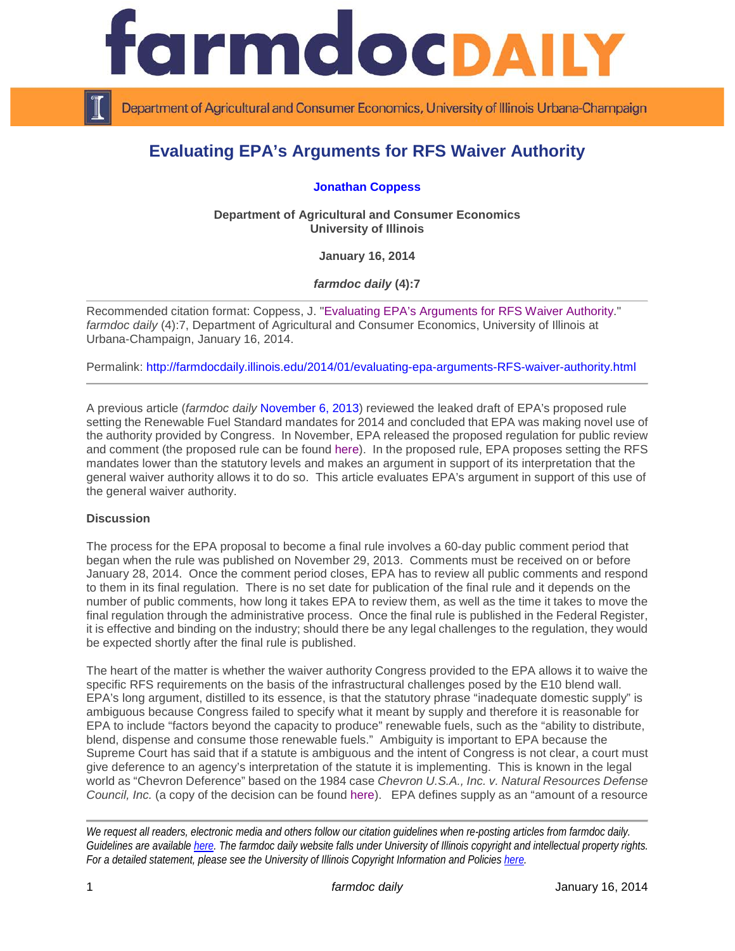

Department of Agricultural and Consumer Economics, University of Illinois Urbana-Champaign

## **Evaluating EPA's Arguments for RFS Waiver Authority**

**[Jonathan Coppess](http://illinois.edu/ds/detail?userId=jwcoppes&search_type=all&search=*%20coppess&from_result_list=true&skinId=0&sub=)**

**Department of Agricultural and Consumer Economics University of Illinois**

**January 16, 2014**

*farmdoc daily* **(4):7**

Recommended citation format: Coppess, J. ["Evaluating EPA's Arguments for RFS Waiver Authority.](http://farmdocdaily.illinois.edu/2014/01/evaluating-epa-arguments-RFS-waiver-authority.html)" *farmdoc daily* (4):7, Department of Agricultural and Consumer Economics, University of Illinois at Urbana-Champaign, January 16, 2014.

Permalink: <http://farmdocdaily.illinois.edu/2014/01/evaluating-epa-arguments-RFS-waiver-authority.html>

A previous article (*farmdoc daily* [November 6, 2013\)](http://farmdocdaily.illinois.edu/2013/11/epa-authority-reduce-rfs.html) reviewed the leaked draft of EPA's proposed rule setting the Renewable Fuel Standard mandates for 2014 and concluded that EPA was making novel use of the authority provided by Congress. In November, EPA released the proposed regulation for public review and comment (the proposed rule can be found [here\)](http://www.epa.gov/otaq/fuels/renewablefuels/regulations.htm). In the proposed rule, EPA proposes setting the RFS mandates lower than the statutory levels and makes an argument in support of its interpretation that the general waiver authority allows it to do so. This article evaluates EPA's argument in support of this use of the general waiver authority.

## **Discussion**

The process for the EPA proposal to become a final rule involves a 60-day public comment period that began when the rule was published on November 29, 2013. Comments must be received on or before January 28, 2014. Once the comment period closes, EPA has to review all public comments and respond to them in its final regulation. There is no set date for publication of the final rule and it depends on the number of public comments, how long it takes EPA to review them, as well as the time it takes to move the final regulation through the administrative process. Once the final rule is published in the Federal Register, it is effective and binding on the industry; should there be any legal challenges to the regulation, they would be expected shortly after the final rule is published.

The heart of the matter is whether the waiver authority Congress provided to the EPA allows it to waive the specific RFS requirements on the basis of the infrastructural challenges posed by the E10 blend wall. EPA's long argument, distilled to its essence, is that the statutory phrase "inadequate domestic supply" is ambiguous because Congress failed to specify what it meant by supply and therefore it is reasonable for EPA to include "factors beyond the capacity to produce" renewable fuels, such as the "ability to distribute, blend, dispense and consume those renewable fuels." Ambiguity is important to EPA because the Supreme Court has said that if a statute is ambiguous and the intent of Congress is not clear, a court must give deference to an agency's interpretation of the statute it is implementing. This is known in the legal world as "Chevron Deference" based on the 1984 case *Chevron U.S.A., Inc. v. Natural Resources Defense Council, Inc.* (a copy of the decision can be found [here\)](http://www.law.cornell.edu/supremecourt/text/467/837). EPA defines supply as an "amount of a resource"

*We request all readers, electronic media and others follow our citation guidelines when re-posting articles from farmdoc daily. Guidelines are available [here.](http://farmdocdaily.illinois.edu/citationguide.html) The farmdoc daily website falls under University of Illinois copyright and intellectual property rights. For a detailed statement, please see the University of Illinois Copyright Information and Policies [here.](http://www.cio.illinois.edu/policies/copyright/)*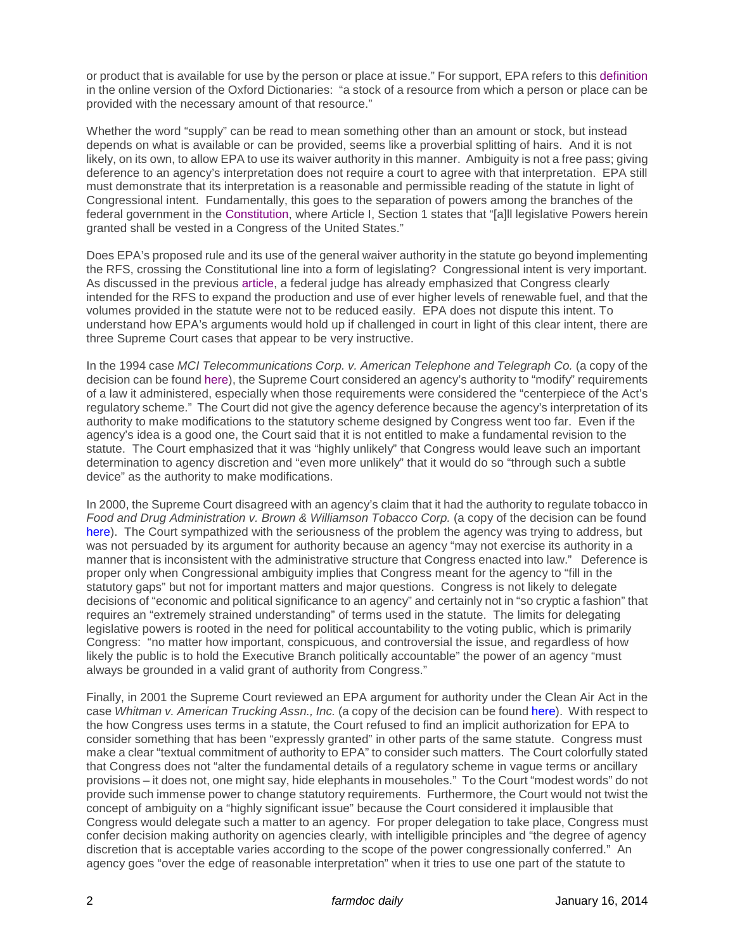or product that is available for use by the person or place at issue." For support, EPA refers to this [definition](http://www.oxforddictionaries.com/us/definition/american_english/supply?q=supply) in the online version of the Oxford Dictionaries: "a stock of a resource from which a person or place can be provided with the necessary amount of that resource."

Whether the word "supply" can be read to mean something other than an amount or stock, but instead depends on what is available or can be provided, seems like a proverbial splitting of hairs. And it is not likely, on its own, to allow EPA to use its waiver authority in this manner. Ambiguity is not a free pass; giving deference to an agency's interpretation does not require a court to agree with that interpretation. EPA still must demonstrate that its interpretation is a reasonable and permissible reading of the statute in light of Congressional intent. Fundamentally, this goes to the separation of powers among the branches of the federal government in the [Constitution,](http://www.archives.gov/exhibits/charters/constitution_transcript.html) where Article I, Section 1 states that "[a]ll legislative Powers herein granted shall be vested in a Congress of the United States."

Does EPA's proposed rule and its use of the general waiver authority in the statute go beyond implementing the RFS, crossing the Constitutional line into a form of legislating? Congressional intent is very important. As discussed in the previous [article,](http://farmdocdaily.illinois.edu/2013/11/epa-authority-reduce-rfs.html) a federal judge has already emphasized that Congress clearly intended for the RFS to expand the production and use of ever higher levels of renewable fuel, and that the volumes provided in the statute were not to be reduced easily. EPA does not dispute this intent. To understand how EPA's arguments would hold up if challenged in court in light of this clear intent, there are three Supreme Court cases that appear to be very instructive.

In the 1994 case *MCI Telecommunications Corp. v. American Telephone and Telegraph Co.* (a copy of the decision can be found [here\)](http://www.law.cornell.edu/supct/html/93-356.ZS.html), the Supreme Court considered an agency's authority to "modify" requirements of a law it administered, especially when those requirements were considered the "centerpiece of the Act's regulatory scheme." The Court did not give the agency deference because the agency's interpretation of its authority to make modifications to the statutory scheme designed by Congress went too far. Even if the agency's idea is a good one, the Court said that it is not entitled to make a fundamental revision to the statute. The Court emphasized that it was "highly unlikely" that Congress would leave such an important determination to agency discretion and "even more unlikely" that it would do so "through such a subtle device" as the authority to make modifications.

In 2000, the Supreme Court disagreed with an agency's claim that it had the authority to regulate tobacco in *Food and Drug Administration v. Brown & Williamson Tobacco Corp.* (a copy of the decision can be found [here\)](http://www.law.cornell.edu/supremecourt/text/98-1152). The Court sympathized with the seriousness of the problem the agency was trying to address, but was not persuaded by its argument for authority because an agency "may not exercise its authority in a manner that is inconsistent with the administrative structure that Congress enacted into law." Deference is proper only when Congressional ambiguity implies that Congress meant for the agency to "fill in the statutory gaps" but not for important matters and major questions. Congress is not likely to delegate decisions of "economic and political significance to an agency" and certainly not in "so cryptic a fashion" that requires an "extremely strained understanding" of terms used in the statute. The limits for delegating legislative powers is rooted in the need for political accountability to the voting public, which is primarily Congress: "no matter how important, conspicuous, and controversial the issue, and regardless of how likely the public is to hold the Executive Branch politically accountable" the power of an agency "must always be grounded in a valid grant of authority from Congress."

Finally, in 2001 the Supreme Court reviewed an EPA argument for authority under the Clean Air Act in the case *Whitman v. American Trucking Assn., Inc.* (a copy of the decision can be found [here\)](http://www.law.cornell.edu/supct/html/99-1257.ZS.html). With respect to the how Congress uses terms in a statute, the Court refused to find an implicit authorization for EPA to consider something that has been "expressly granted" in other parts of the same statute. Congress must make a clear "textual commitment of authority to EPA" to consider such matters. The Court colorfully stated that Congress does not "alter the fundamental details of a regulatory scheme in vague terms or ancillary provisions – it does not, one might say, hide elephants in mouseholes." To the Court "modest words" do not provide such immense power to change statutory requirements. Furthermore, the Court would not twist the concept of ambiguity on a "highly significant issue" because the Court considered it implausible that Congress would delegate such a matter to an agency. For proper delegation to take place, Congress must confer decision making authority on agencies clearly, with intelligible principles and "the degree of agency discretion that is acceptable varies according to the scope of the power congressionally conferred." An agency goes "over the edge of reasonable interpretation" when it tries to use one part of the statute to